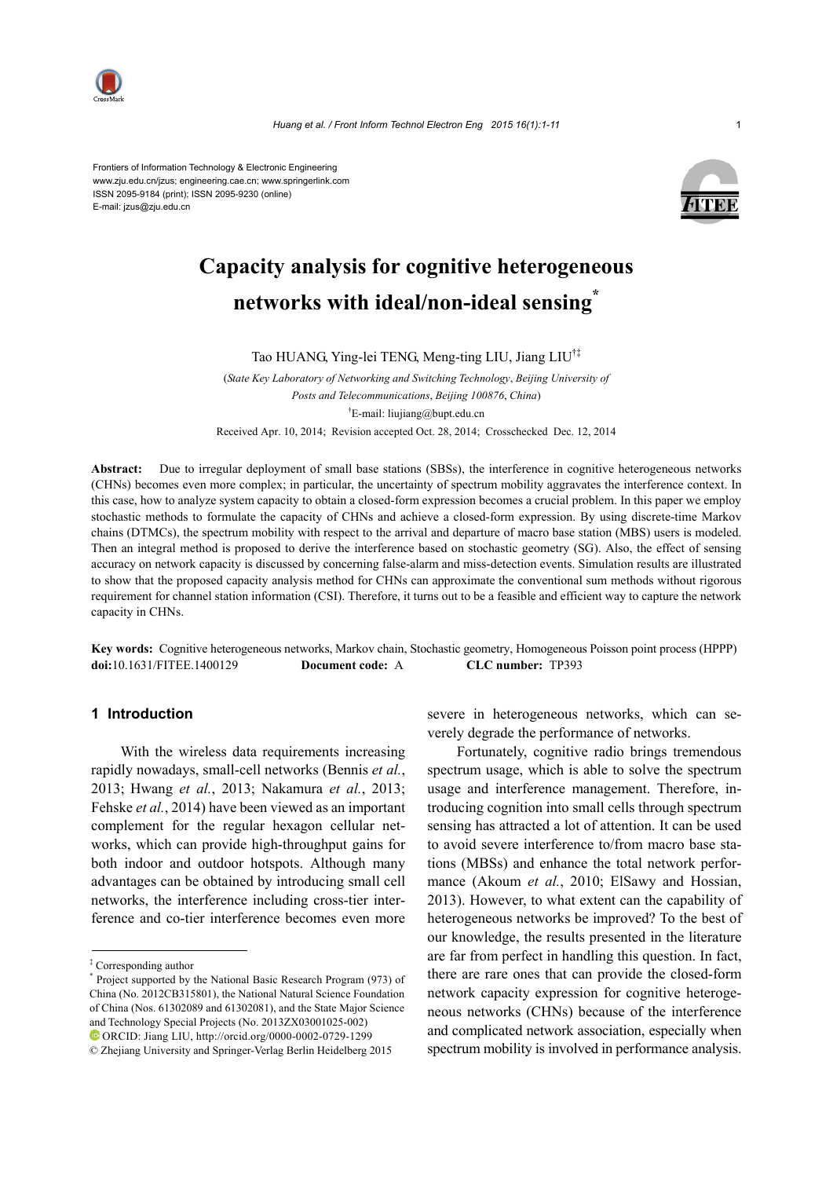

Frontiers of Information Technology & Electronic Engineering www.zju.edu.cn/jzus; engineering.cae.cn; www.springerlink.com ISSN 2095-9184 (print); ISSN 2095-9230 (online) E-mail: jzus@zju.edu.cn



# **Capacity analysis for cognitive heterogeneous networks with ideal/non-ideal sensing\***

Tao HUANG, Ying-lei TENG, Meng-ting LIU, Jiang LIU†‡

(*State Key Laboratory of Networking and Switching Technology*, *Beijing University of Posts and Telecommunications*, *Beijing 100876*, *China*) † E-mail: liujiang@bupt.edu.cn Received Apr. 10, 2014; Revision accepted Oct. 28, 2014; Crosschecked Dec. 12, 2014

**Abstract:** Due to irregular deployment of small base stations (SBSs), the interference in cognitive heterogeneous networks (CHNs) becomes even more complex; in particular, the uncertainty of spectrum mobility aggravates the interference context. In this case, how to analyze system capacity to obtain a closed-form expression becomes a crucial problem. In this paper we employ stochastic methods to formulate the capacity of CHNs and achieve a closed-form expression. By using discrete-time Markov chains (DTMCs), the spectrum mobility with respect to the arrival and departure of macro base station (MBS) users is modeled. Then an integral method is proposed to derive the interference based on stochastic geometry (SG). Also, the effect of sensing accuracy on network capacity is discussed by concerning false-alarm and miss-detection events. Simulation results are illustrated to show that the proposed capacity analysis method for CHNs can approximate the conventional sum methods without rigorous requirement for channel station information (CSI). Therefore, it turns out to be a feasible and efficient way to capture the network capacity in CHNs.

**Key words:** Cognitive heterogeneous networks, Markov chain, Stochastic geometry, Homogeneous Poisson point process (HPPP) **doi:**10.1631/FITEE.1400129 **Document code:** A **CLC number:** TP393

## **1 Introduction**

With the wireless data requirements increasing rapidly nowadays, small-cell networks (Bennis *et al.*, 2013; Hwang *et al.*, 2013; Nakamura *et al.*, 2013; Fehske *et al.*, 2014) have been viewed as an important complement for the regular hexagon cellular networks, which can provide high-throughput gains for both indoor and outdoor hotspots. Although many advantages can be obtained by introducing small cell networks, the interference including cross-tier interference and co-tier interference becomes even more

severe in heterogeneous networks, which can severely degrade the performance of networks.

Fortunately, cognitive radio brings tremendous spectrum usage, which is able to solve the spectrum usage and interference management. Therefore, introducing cognition into small cells through spectrum sensing has attracted a lot of attention. It can be used to avoid severe interference to/from macro base stations (MBSs) and enhance the total network performance (Akoum *et al.*, 2010; ElSawy and Hossian, 2013). However, to what extent can the capability of heterogeneous networks be improved? To the best of our knowledge, the results presented in the literature are far from perfect in handling this question. In fact, there are rare ones that can provide the closed-form network capacity expression for cognitive heterogeneous networks (CHNs) because of the interference and complicated network association, especially when spectrum mobility is involved in performance analysis.

<sup>‡</sup> Corresponding author

<sup>\*</sup> Project supported by the National Basic Research Program (973) of China (No. 2012CB315801), the National Natural Science Foundation of China (Nos. 61302089 and 61302081), and the State Major Science and Technology Special Projects (No. 2013ZX03001025-002) ORCID: Jiang LIU, http://orcid.org/0000-0002-0729-1299 © Zhejiang University and Springer-Verlag Berlin Heidelberg 2015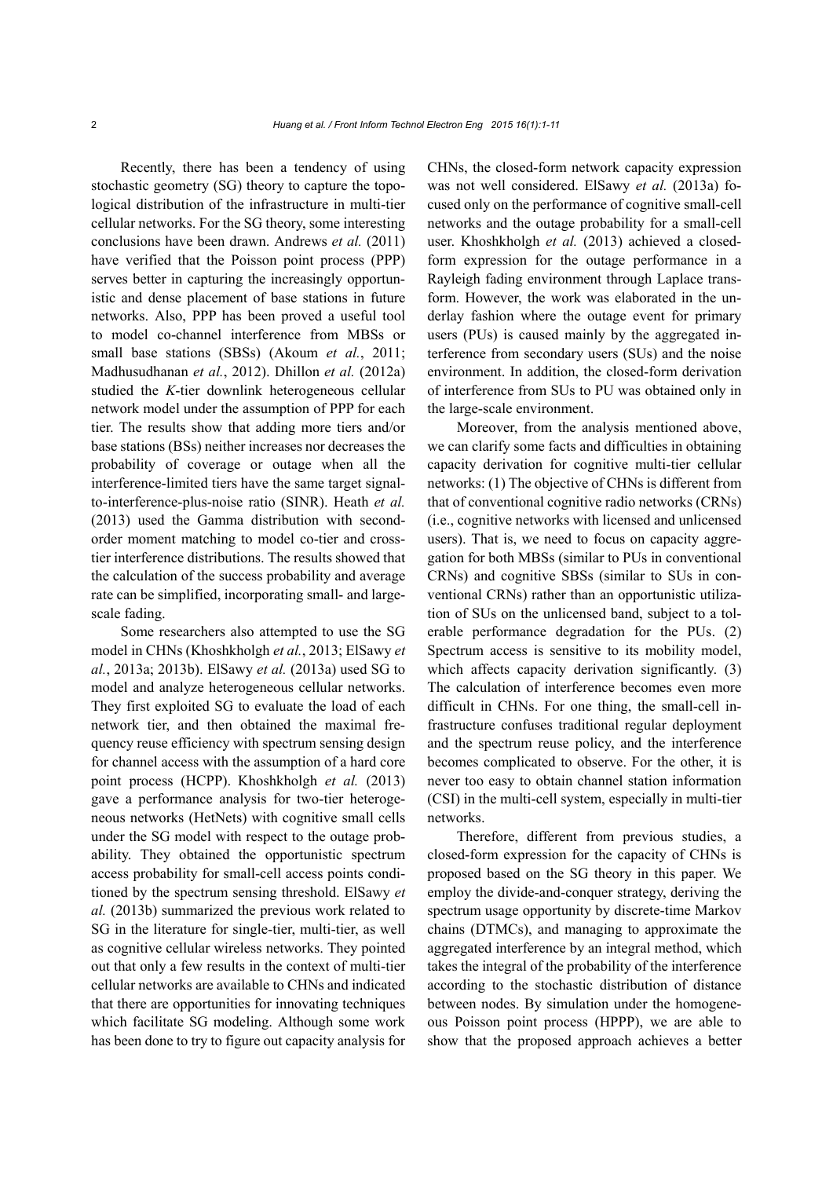Recently, there has been a tendency of using stochastic geometry (SG) theory to capture the topological distribution of the infrastructure in multi-tier cellular networks. For the SG theory, some interesting conclusions have been drawn. Andrews *et al.* (2011) have verified that the Poisson point process (PPP) serves better in capturing the increasingly opportunistic and dense placement of base stations in future networks. Also, PPP has been proved a useful tool to model co-channel interference from MBSs or small base stations (SBSs) (Akoum *et al.*, 2011; Madhusudhanan *et al.*, 2012). Dhillon *et al.* (2012a) studied the *K*-tier downlink heterogeneous cellular network model under the assumption of PPP for each tier. The results show that adding more tiers and/or base stations (BSs) neither increases nor decreases the probability of coverage or outage when all the interference-limited tiers have the same target signalto-interference-plus-noise ratio (SINR). Heath *et al.* (2013) used the Gamma distribution with secondorder moment matching to model co-tier and crosstier interference distributions. The results showed that the calculation of the success probability and average rate can be simplified, incorporating small- and largescale fading.

Some researchers also attempted to use the SG model in CHNs (Khoshkholgh *et al.*, 2013; ElSawy *et al.*, 2013a; 2013b). ElSawy *et al.* (2013a) used SG to model and analyze heterogeneous cellular networks. They first exploited SG to evaluate the load of each network tier, and then obtained the maximal frequency reuse efficiency with spectrum sensing design for channel access with the assumption of a hard core point process (HCPP). Khoshkholgh *et al.* (2013) gave a performance analysis for two-tier heterogeneous networks (HetNets) with cognitive small cells under the SG model with respect to the outage probability. They obtained the opportunistic spectrum access probability for small-cell access points conditioned by the spectrum sensing threshold. ElSawy *et al.* (2013b) summarized the previous work related to SG in the literature for single-tier, multi-tier, as well as cognitive cellular wireless networks. They pointed out that only a few results in the context of multi-tier cellular networks are available to CHNs and indicated that there are opportunities for innovating techniques which facilitate SG modeling. Although some work has been done to try to figure out capacity analysis for

CHNs, the closed-form network capacity expression was not well considered. ElSawy *et al.* (2013a) focused only on the performance of cognitive small-cell networks and the outage probability for a small-cell user. Khoshkholgh *et al.* (2013) achieved a closedform expression for the outage performance in a Rayleigh fading environment through Laplace transform. However, the work was elaborated in the underlay fashion where the outage event for primary users (PUs) is caused mainly by the aggregated interference from secondary users (SUs) and the noise environment. In addition, the closed-form derivation of interference from SUs to PU was obtained only in the large-scale environment.

Moreover, from the analysis mentioned above, we can clarify some facts and difficulties in obtaining capacity derivation for cognitive multi-tier cellular networks: (1) The objective of CHNs is different from that of conventional cognitive radio networks (CRNs) (i.e., cognitive networks with licensed and unlicensed users). That is, we need to focus on capacity aggregation for both MBSs (similar to PUs in conventional CRNs) and cognitive SBSs (similar to SUs in conventional CRNs) rather than an opportunistic utilization of SUs on the unlicensed band, subject to a tolerable performance degradation for the PUs. (2) Spectrum access is sensitive to its mobility model, which affects capacity derivation significantly. (3) The calculation of interference becomes even more difficult in CHNs. For one thing, the small-cell infrastructure confuses traditional regular deployment and the spectrum reuse policy, and the interference becomes complicated to observe. For the other, it is never too easy to obtain channel station information (CSI) in the multi-cell system, especially in multi-tier networks.

Therefore, different from previous studies, a closed-form expression for the capacity of CHNs is proposed based on the SG theory in this paper. We employ the divide-and-conquer strategy, deriving the spectrum usage opportunity by discrete-time Markov chains (DTMCs), and managing to approximate the aggregated interference by an integral method, which takes the integral of the probability of the interference according to the stochastic distribution of distance between nodes. By simulation under the homogeneous Poisson point process (HPPP), we are able to show that the proposed approach achieves a better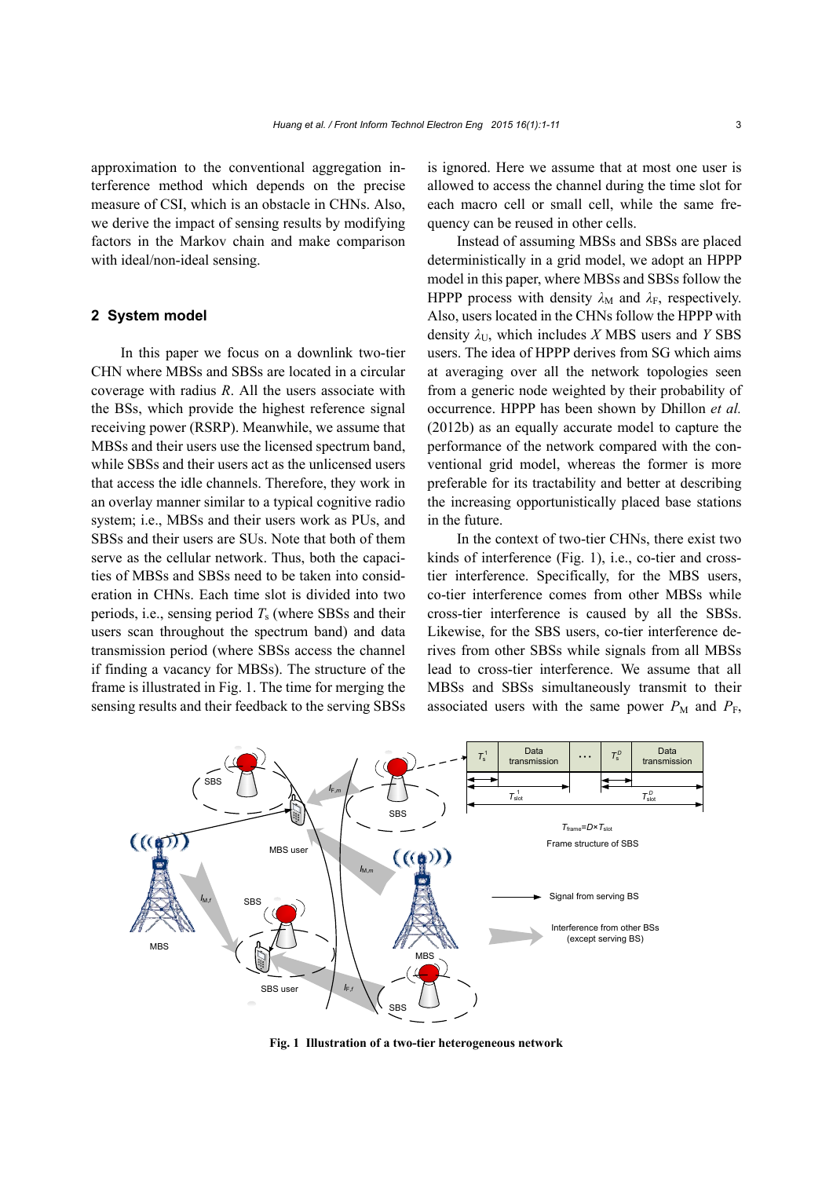approximation to the conventional aggregation interference method which depends on the precise measure of CSI, which is an obstacle in CHNs. Also, we derive the impact of sensing results by modifying factors in the Markov chain and make comparison with ideal/non-ideal sensing.

# **2 System model**

In this paper we focus on a downlink two-tier CHN where MBSs and SBSs are located in a circular coverage with radius *R*. All the users associate with the BSs, which provide the highest reference signal receiving power (RSRP). Meanwhile, we assume that MBSs and their users use the licensed spectrum band, while SBSs and their users act as the unlicensed users that access the idle channels. Therefore, they work in an overlay manner similar to a typical cognitive radio system; i.e., MBSs and their users work as PUs, and SBSs and their users are SUs. Note that both of them serve as the cellular network. Thus, both the capacities of MBSs and SBSs need to be taken into consideration in CHNs. Each time slot is divided into two periods, i.e., sensing period *T*s (where SBSs and their users scan throughout the spectrum band) and data transmission period (where SBSs access the channel if finding a vacancy for MBSs). The structure of the frame is illustrated in Fig. 1. The time for merging the sensing results and their feedback to the serving SBSs

is ignored. Here we assume that at most one user is allowed to access the channel during the time slot for each macro cell or small cell, while the same frequency can be reused in other cells.

Instead of assuming MBSs and SBSs are placed deterministically in a grid model, we adopt an HPPP model in this paper, where MBSs and SBSs follow the HPPP process with density  $\lambda_M$  and  $\lambda_F$ , respectively. Also, users located in the CHNs follow the HPPP with density  $\lambda_{\text{U}}$ , which includes *X* MBS users and *Y* SBS users. The idea of HPPP derives from SG which aims at averaging over all the network topologies seen from a generic node weighted by their probability of occurrence. HPPP has been shown by Dhillon *et al.* (2012b) as an equally accurate model to capture the performance of the network compared with the conventional grid model, whereas the former is more preferable for its tractability and better at describing the increasing opportunistically placed base stations in the future.

In the context of two-tier CHNs, there exist two kinds of interference (Fig. 1), i.e., co-tier and crosstier interference. Specifically, for the MBS users, co-tier interference comes from other MBSs while cross-tier interference is caused by all the SBSs. Likewise, for the SBS users, co-tier interference derives from other SBSs while signals from all MBSs lead to cross-tier interference. We assume that all MBSs and SBSs simultaneously transmit to their associated users with the same power  $P_M$  and  $P_F$ ,



**Fig. 1 Illustration of a two-tier heterogeneous network**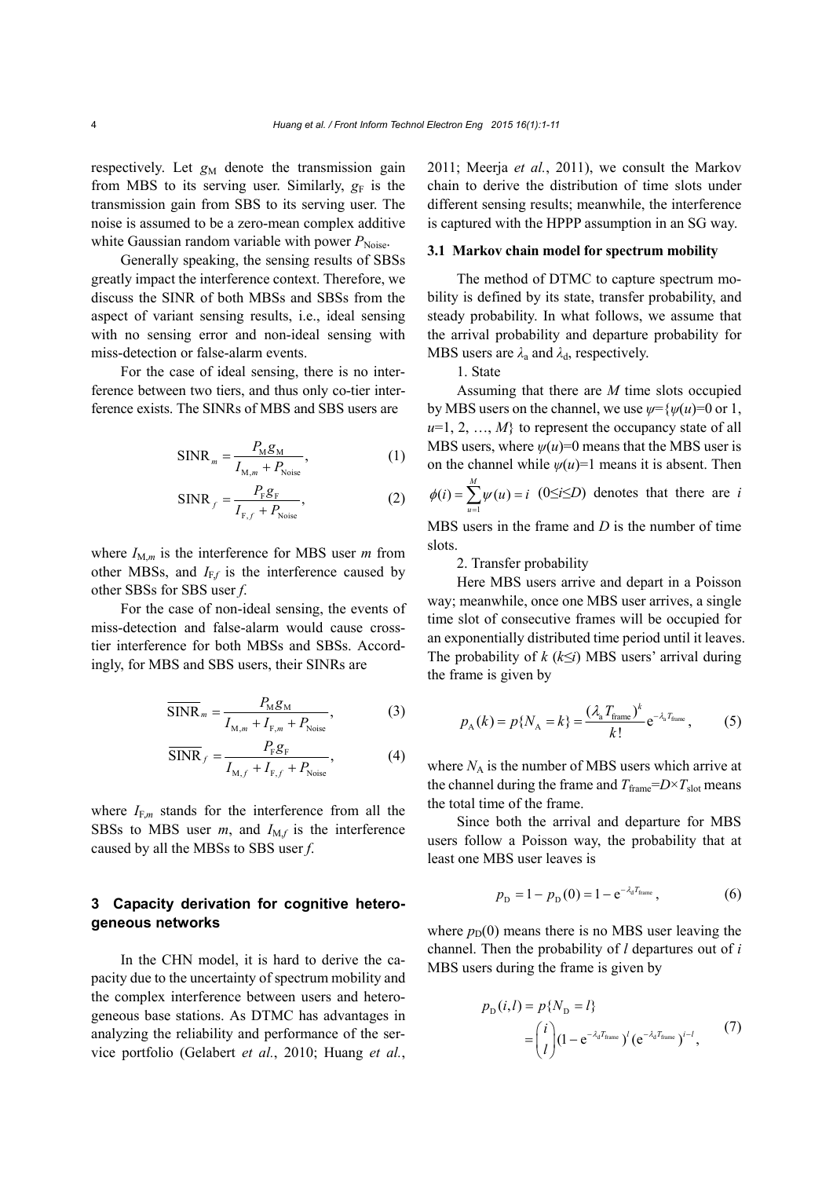respectively. Let  $g_M$  denote the transmission gain from MBS to its serving user. Similarly,  $g_F$  is the transmission gain from SBS to its serving user. The noise is assumed to be a zero-mean complex additive white Gaussian random variable with power  $P_{\text{Noise}}$ .

Generally speaking, the sensing results of SBSs greatly impact the interference context. Therefore, we discuss the SINR of both MBSs and SBSs from the aspect of variant sensing results, i.e., ideal sensing with no sensing error and non-ideal sensing with miss-detection or false-alarm events.

For the case of ideal sensing, there is no interference between two tiers, and thus only co-tier interference exists. The SINRs of MBS and SBS users are

$$
\text{SINR}_{m} = \frac{P_{\text{M}}g_{\text{M}}}{I_{\text{M},m} + P_{\text{Noise}}},\tag{1}
$$

$$
\text{SINR}_{f} = \frac{P_{\text{F}}g_{\text{F}}}{I_{\text{F},f} + P_{\text{Noise}}},\tag{2}
$$

where  $I_{M,m}$  is the interference for MBS user *m* from other MBSs, and  $I_{F,f}$  is the interference caused by other SBSs for SBS user *f*.

For the case of non-ideal sensing, the events of miss-detection and false-alarm would cause crosstier interference for both MBSs and SBSs. Accordingly, for MBS and SBS users, their SINRs are

$$
\overline{\text{SINR}}_m = \frac{P_\text{M} g_\text{M}}{I_{\text{M},m} + I_{\text{F},m} + P_{\text{Noise}}},\tag{3}
$$

$$
\overline{\text{SINR}}_f = \frac{P_{\rm F}g_{\rm F}}{I_{\rm M,f} + I_{\rm F,f} + P_{\rm Noise}},\tag{4}
$$

where  $I_{F,m}$  stands for the interference from all the SBSs to MBS user  $m$ , and  $I_{\text{M}f}$  is the interference caused by all the MBSs to SBS user *f*.

# **3 Capacity derivation for cognitive heterogeneous networks**

In the CHN model, it is hard to derive the capacity due to the uncertainty of spectrum mobility and the complex interference between users and heterogeneous base stations. As DTMC has advantages in analyzing the reliability and performance of the service portfolio (Gelabert *et al.*, 2010; Huang *et al.*, 2011; Meerja *et al.*, 2011), we consult the Markov chain to derive the distribution of time slots under different sensing results; meanwhile, the interference is captured with the HPPP assumption in an SG way.

# **3.1 Markov chain model for spectrum mobility**

The method of DTMC to capture spectrum mobility is defined by its state, transfer probability, and steady probability. In what follows, we assume that the arrival probability and departure probability for MBS users are  $\lambda_a$  and  $\lambda_d$ , respectively.

1. State

Assuming that there are *M* time slots occupied by MBS users on the channel, we use  $\psi = {\psi(u) = 0 \text{ or } 1}$ ,  $u=1, 2, ..., M$  to represent the occupancy state of all MBS users, where  $\psi(u)=0$  means that the MBS user is on the channel while  $\psi(u)=1$  means it is absent. Then 1  $\phi(i) = \sum \psi(u)$  $=\sum_{u=1}^{M}\psi(u)=$ *u*  $(i) = \sum \psi(u) = i$  (0≤*i*≤*D*) denotes that there are *i* 

MBS users in the frame and *D* is the number of time slots.

#### 2. Transfer probability

Here MBS users arrive and depart in a Poisson way; meanwhile, once one MBS user arrives, a single time slot of consecutive frames will be occupied for an exponentially distributed time period until it leaves. The probability of *k* (*k≤i*) MBS users' arrival during the frame is given by

$$
p_{A}(k) = p\{N_{A} = k\} = \frac{(\lambda_{a} T_{\text{frame}})^{k}}{k!} e^{-\lambda_{a} T_{\text{frame}}},
$$
 (5)

where  $N_A$  is the number of MBS users which arrive at the channel during the frame and  $T_{\text{frame}}=D\times T_{\text{slot}}$  means the total time of the frame.

Since both the arrival and departure for MBS users follow a Poisson way, the probability that at least one MBS user leaves is

$$
p_{\rm D} = 1 - p_{\rm D}(0) = 1 - e^{-\lambda_{\rm d} T_{\rm frame}}, \qquad (6)
$$

where  $p_D(0)$  means there is no MBS user leaving the channel. Then the probability of *l* departures out of *i* MBS users during the frame is given by

$$
p_{\rm D}(i,l) = p\{N_{\rm D} = l\}
$$
  
=  $\binom{i}{l} (1 - e^{-\lambda_{\rm d} T_{\rm frame}})^l (e^{-\lambda_{\rm d} T_{\rm frame}})^{i-l}$ , (7)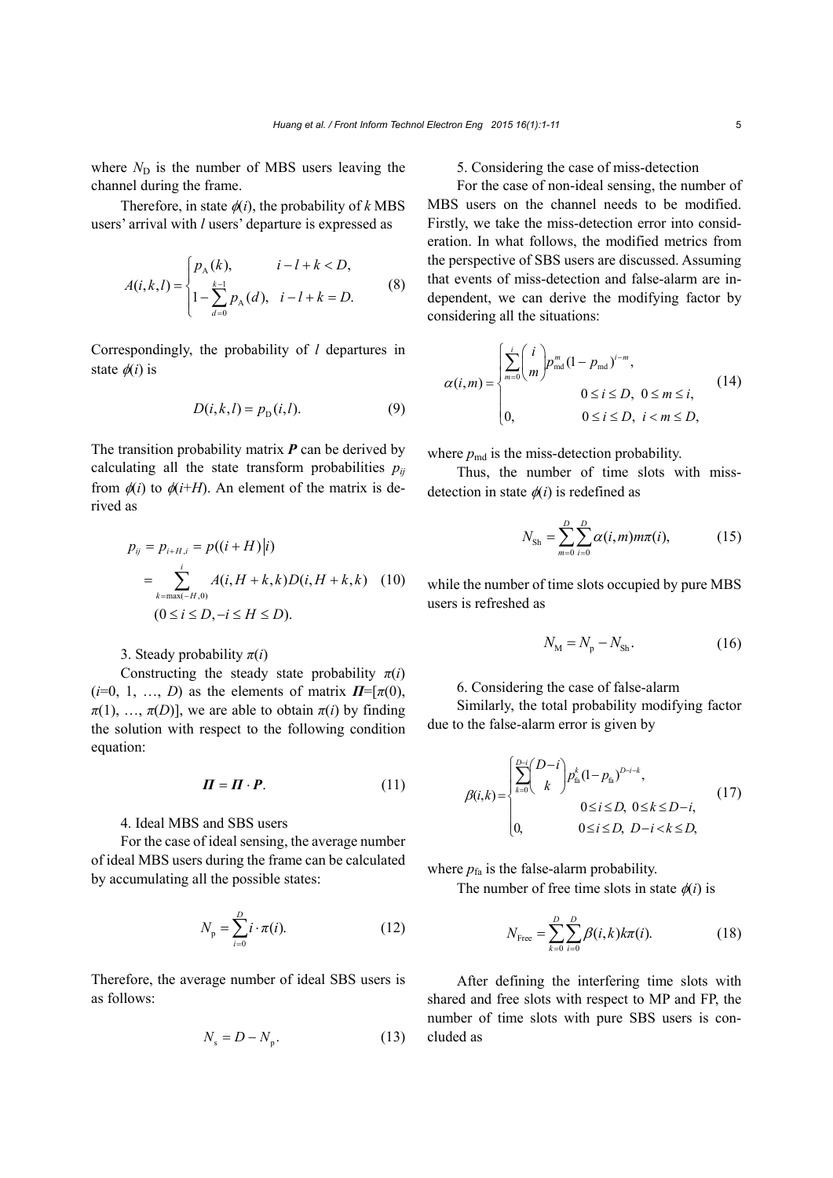where  $N_D$  is the number of MBS users leaving the channel during the frame.

Therefore, in state  $\phi(i)$ , the probability of *k* MBS users' arrival with *l* users' departure is expressed as

$$
A(i,k,l) = \begin{cases} p_A(k), & i-l+k < D, \\ 1 - \sum_{d=0}^{k-1} p_A(d), & i-l+k = D. \end{cases}
$$
 (8)

Correspondingly, the probability of *l* departures in state  $\phi(i)$  is

$$
D(i,k,l) = p_{\rm D}(i,l). \tag{9}
$$

The transition probability matrix *P* can be derived by calculating all the state transform probabilities  $p_{ij}$ from  $\phi(i)$  to  $\phi(i+H)$ . An element of the matrix is derived as

$$
p_{ij} = p_{i+H,i} = p((i+H)|i)
$$
  
= 
$$
\sum_{k=\max(-H,0)}^{i} A(i, H+k, k) D(i, H+k, k) \quad (10)
$$
  

$$
(0 \le i \le D, -i \le H \le D).
$$

3. Steady probability *π*(*i*)

Constructing the steady state probability  $\pi(i)$  $(i=0, 1, ..., D)$  as the elements of matrix  $\Pi = [\pi(0),$  $\pi(1), \ldots, \pi(D)$ ], we are able to obtain  $\pi(i)$  by finding the solution with respect to the following condition equation:

$$
\boldsymbol{\Pi} = \boldsymbol{\Pi} \cdot \boldsymbol{P}.\tag{11}
$$

4. Ideal MBS and SBS users

For the case of ideal sensing, the average number of ideal MBS users during the frame can be calculated by accumulating all the possible states:

$$
N_{\rm p} = \sum_{i=0}^{D} i \cdot \pi(i). \tag{12}
$$

Therefore, the average number of ideal SBS users is as follows:

$$
N_{\rm s} = D - N_{\rm p}.\tag{13}
$$

#### 5. Considering the case of miss-detection

For the case of non-ideal sensing, the number of MBS users on the channel needs to be modified. Firstly, we take the miss-detection error into consideration. In what follows, the modified metrics from the perspective of SBS users are discussed. Assuming that events of miss-detection and false-alarm are independent, we can derive the modifying factor by considering all the situations:

$$
\alpha(i,m) = \begin{cases} \sum_{m=0}^{i} {i \choose m} p_{md}^{m} (1-p_{md})^{i-m}, & (14) \\ 0 \le i \le D, \ 0 \le m \le i, \\ 0, & 0 \le i \le D, \ i < m \le D, \end{cases}
$$

where  $p_{\text{md}}$  is the miss-detection probability.

Thus, the number of time slots with missdetection in state  $\phi(i)$  is redefined as

$$
N_{\rm Sh} = \sum_{m=0}^{D} \sum_{i=0}^{D} \alpha(i, m) m \pi(i), \qquad (15)
$$

while the number of time slots occupied by pure MBS users is refreshed as

$$
N_{\rm M} = N_{\rm p} - N_{\rm Sh}.\tag{16}
$$

# 6. Considering the case of false-alarm

Similarly, the total probability modifying factor due to the false-alarm error is given by

$$
\beta(i,k) = \begin{cases} \sum_{k=0}^{D-i} {D-i \choose k} p_{\text{fa}}^k (1-p_{\text{fa}})^{D-i-k}, & (17) \\ 0 \le i \le D, \ 0 \le k \le D-i, \\ 0, & 0 \le i \le D, \ D-i < k \le D, \end{cases}
$$

where  $p_{fa}$  is the false-alarm probability.

The number of free time slots in state  $\phi(i)$  is

$$
N_{\text{Free}} = \sum_{k=0}^{D} \sum_{i=0}^{D} \beta(i,k) k \pi(i).
$$
 (18)

After defining the interfering time slots with shared and free slots with respect to MP and FP, the number of time slots with pure SBS users is concluded as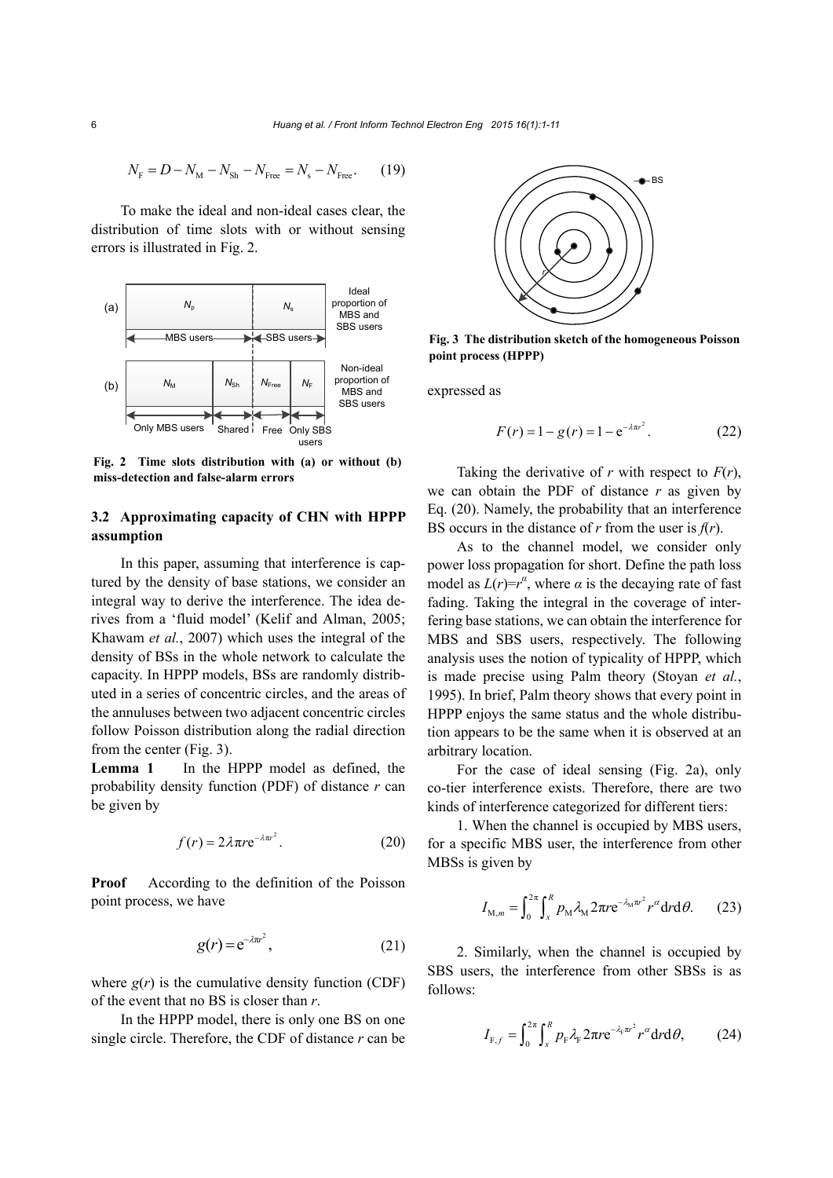$$
N_{\rm F} = D - N_{\rm M} - N_{\rm Sh} - N_{\rm Free} = N_{\rm s} - N_{\rm Free}.
$$
 (19)

To make the ideal and non-ideal cases clear, the distribution of time slots with or without sensing errors is illustrated in Fig. 2.



**Fig. 2 Time slots distribution with (a) or without (b) miss-detection and false-alarm errors** 

# **3.2 Approximating capacity of CHN with HPPP assumption**

In this paper, assuming that interference is captured by the density of base stations, we consider an integral way to derive the interference. The idea derives from a 'fluid model' (Kelif and Alman, 2005; Khawam *et al.*, 2007) which uses the integral of the density of BSs in the whole network to calculate the capacity. In HPPP models, BSs are randomly distributed in a series of concentric circles, and the areas of the annuluses between two adjacent concentric circles follow Poisson distribution along the radial direction from the center (Fig. 3).

**Lemma 1** In the HPPP model as defined, the probability density function (PDF) of distance *r* can be given by

$$
f(r) = 2\lambda\pi r e^{-\lambda\pi r^2}.
$$
 (20)

**Proof** According to the definition of the Poisson point process, we have

$$
g(r) = e^{-\lambda \pi r^2}, \qquad (21)
$$

where  $g(r)$  is the cumulative density function (CDF) of the event that no BS is closer than *r*.

In the HPPP model, there is only one BS on one single circle. Therefore, the CDF of distance *r* can be



**Fig. 3 The distribution sketch of the homogeneous Poisson point process (HPPP)** 

expressed as

$$
F(r) = 1 - g(r) = 1 - e^{-\lambda \pi r^2}.
$$
 (22)

Taking the derivative of  $r$  with respect to  $F(r)$ , we can obtain the PDF of distance *r* as given by Eq. (20). Namely, the probability that an interference BS occurs in the distance of  $r$  from the user is  $f(r)$ .

As to the channel model, we consider only power loss propagation for short. Define the path loss model as  $L(r)=r^{\alpha}$ , where  $\alpha$  is the decaying rate of fast fading. Taking the integral in the coverage of interfering base stations, we can obtain the interference for MBS and SBS users, respectively. The following analysis uses the notion of typicality of HPPP, which is made precise using Palm theory (Stoyan *et al.*, 1995). In brief, Palm theory shows that every point in HPPP enjoys the same status and the whole distribution appears to be the same when it is observed at an arbitrary location.

For the case of ideal sensing (Fig. 2a), only co-tier interference exists. Therefore, there are two kinds of interference categorized for different tiers:

1. When the channel is occupied by MBS users, for a specific MBS user, the interference from other MBSs is given by

$$
I_{\mathrm{M},m} = \int_0^{2\pi} \int_x^R p_\mathrm{M} \lambda_\mathrm{M} 2\pi r \mathrm{e}^{-\lambda_\mathrm{M} \pi r^2} r^\alpha \mathrm{d}r \mathrm{d}\theta. \qquad (23)
$$

2. Similarly, when the channel is occupied by SBS users, the interference from other SBSs is as follows:

$$
I_{\mathrm{F},f} = \int_0^{2\pi} \int_x^R p_\mathrm{F} \lambda_\mathrm{F} 2\pi r \mathrm{e}^{-\lambda_\mathrm{F} \pi r^2} r^\alpha \mathrm{d}r \mathrm{d}\theta, \qquad (24)
$$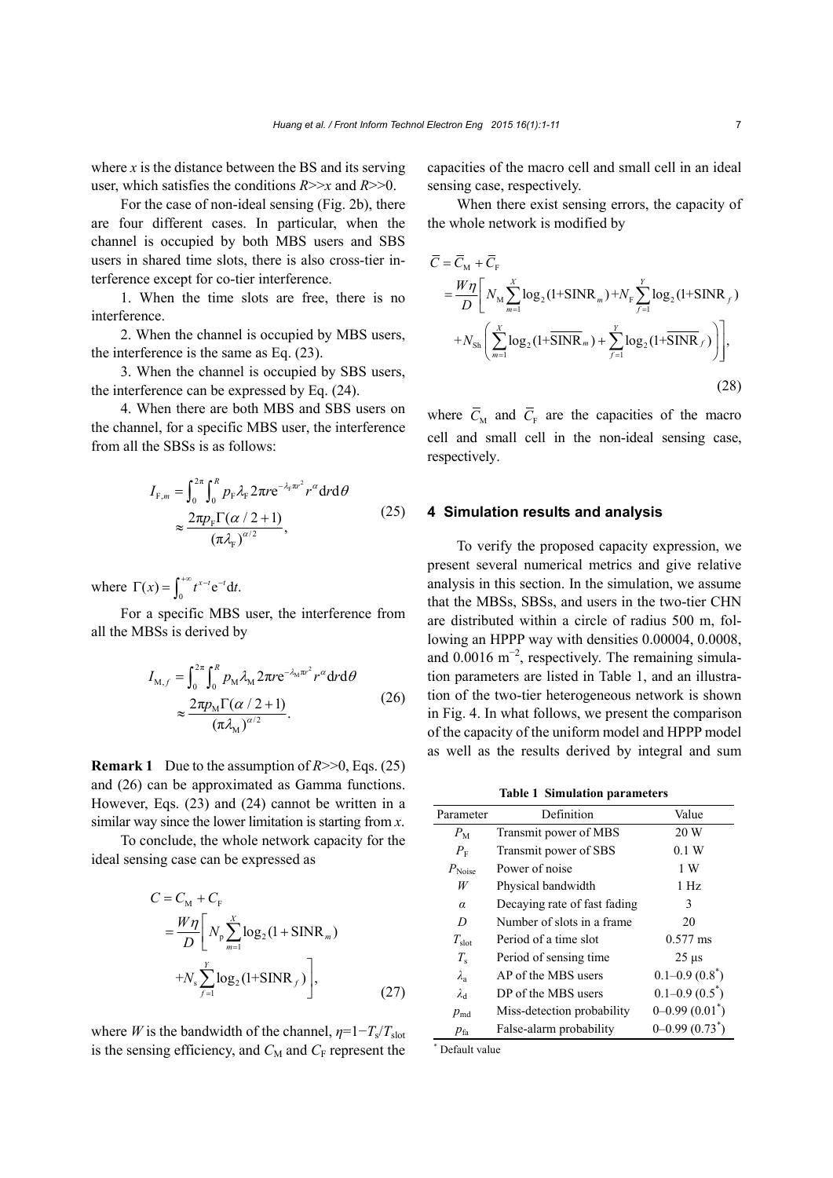where  $x$  is the distance between the BS and its serving user, which satisfies the conditions *R*>>*x* and *R*>>0.

For the case of non-ideal sensing (Fig. 2b), there are four different cases. In particular, when the channel is occupied by both MBS users and SBS users in shared time slots, there is also cross-tier interference except for co-tier interference.

1. When the time slots are free, there is no interference.

2. When the channel is occupied by MBS users, the interference is the same as Eq. (23).

3. When the channel is occupied by SBS users, the interference can be expressed by Eq. (24).

4. When there are both MBS and SBS users on the channel, for a specific MBS user, the interference from all the SBSs is as follows:

$$
I_{F,m} = \int_0^{2\pi} \int_0^R p_F \lambda_F 2\pi r e^{-\lambda_F \pi r^2} r^{\alpha} dr d\theta
$$
  

$$
\approx \frac{2\pi p_F \Gamma(\alpha/2+1)}{(\pi \lambda_F)^{\alpha/2}},
$$
 (25)

where  $\Gamma(x) = \int_0^{+\infty} t^{x-t} e^{-t} dt$ .

For a specific MBS user, the interference from all the MBSs is derived by

$$
I_{\text{M},f} = \int_0^{2\pi} \int_0^R p_{\text{M}} \lambda_{\text{M}} 2\pi r e^{-\lambda_{\text{M}} \pi r^2} r^{\alpha} dr d\theta
$$
  

$$
\approx \frac{2\pi p_{\text{M}} \Gamma(\alpha / 2 + 1)}{(\pi \lambda_{\text{M}})^{\alpha/2}}.
$$
 (26)

**Remark 1** Due to the assumption of *R*>>0, Eqs. (25) and (26) can be approximated as Gamma functions. However, Eqs. (23) and (24) cannot be written in a similar way since the lower limitation is starting from *x*.

To conclude, the whole network capacity for the ideal sensing case can be expressed as

$$
C = C_{\rm M} + C_{\rm F}
$$
  
=  $\frac{W\eta}{D} \left[ N_{\rm p} \sum_{m=1}^{X} \log_2(1 + \text{SINR}_m) + N_{\rm s} \sum_{f=1}^{Y} \log_2(1 + \text{SINR}_f) \right],$  (27)

where *W* is the bandwidth of the channel,  $\eta = 1 - T_s/T_{\text{slot}}$ is the sensing efficiency, and  $C_M$  and  $C_F$  represent the capacities of the macro cell and small cell in an ideal sensing case, respectively.

When there exist sensing errors, the capacity of the whole network is modified by

$$
\overline{C} = \overline{C}_{\text{M}} + \overline{C}_{\text{F}}
$$
\n
$$
= \frac{W\eta}{D} \bigg[ N_{\text{M}} \sum_{m=1}^{X} \log_2(1 + \text{SINR}_m) + N_{\text{F}} \sum_{f=1}^{Y} \log_2(1 + \text{SINR}_f)
$$
\n
$$
+ N_{\text{Sh}} \bigg( \sum_{m=1}^{X} \log_2(1 + \overline{\text{SINR}}_m) + \sum_{f=1}^{Y} \log_2(1 + \overline{\text{SINR}}_f) \bigg) \bigg],
$$
\n(28)

where  $\overline{C}_{\text{M}}$  and  $\overline{C}_{\text{F}}$  are the capacities of the macro cell and small cell in the non-ideal sensing case, respectively.

# **4 Simulation results and analysis**

To verify the proposed capacity expression, we present several numerical metrics and give relative analysis in this section. In the simulation, we assume that the MBSs, SBSs, and users in the two-tier CHN are distributed within a circle of radius 500 m, following an HPPP way with densities 0.00004, 0.0008, and 0.0016  $m^{-2}$ , respectively. The remaining simulation parameters are listed in Table 1, and an illustration of the two-tier heterogeneous network is shown in Fig. 4. In what follows, we present the comparison of the capacity of the uniform model and HPPP model as well as the results derived by integral and sum

**Table 1 Simulation parameters** 

| Parameter          | Definition                   | Value                    |
|--------------------|------------------------------|--------------------------|
| $P_{\rm M}$        | Transmit power of MBS        | 20 W                     |
| $P_{\rm F}$        | Transmit power of SBS        | 0.1 W                    |
| $P_{\text{Noise}}$ | Power of noise               | 1 W                      |
| W                  | Physical bandwidth           | 1 Hz                     |
| $\alpha$           | Decaying rate of fast fading | 3                        |
| D                  | Number of slots in a frame   | 20                       |
| $T_{\rm slot}$     | Period of a time slot        | $0.577$ ms               |
| $T_{\rm s}$        | Period of sensing time       | $25 \text{ }\mu\text{s}$ |
| $\lambda_{\rm a}$  | AP of the MBS users          | $0.1 - 0.9(0.8^*)$       |
| $\lambda_{\rm d}$  | DP of the MBS users          | $0.1 - 0.9$ $(0.5^*)$    |
| $p_{\rm md}$       | Miss-detection probability   | $0 - 0.99$ $(0.01^*)$    |
| $p_{fa}$           | False-alarm probability      | $0 - 0.99$ $(0.73^*)$    |

\* Default value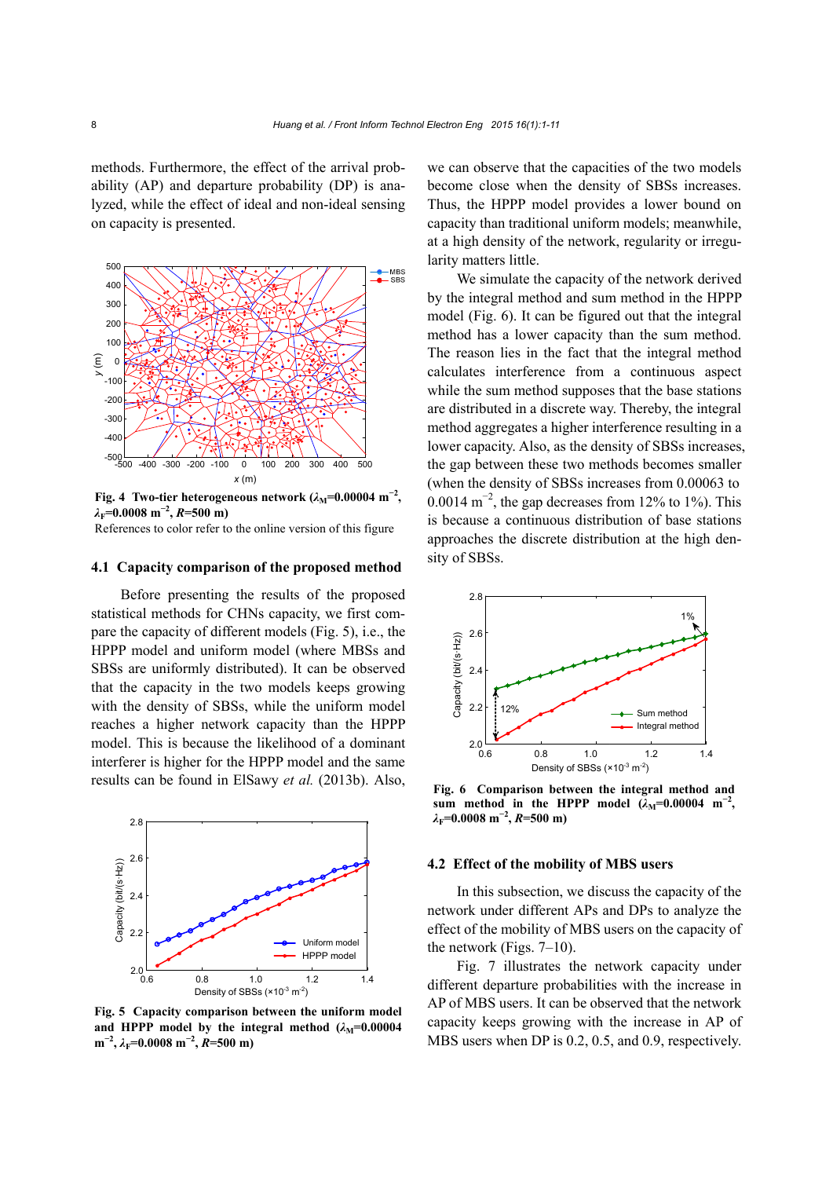methods. Furthermore, the effect of the arrival probability (AP) and departure probability (DP) is analyzed, while the effect of ideal and non-ideal sensing on capacity is presented.



**Fig. 4 Two-tier heterogeneous network (** $\lambda_M$ **=0.00004 m<sup>-2</sup>,**  $λ$ **F**=0.0008 m<sup>−2</sup>, *R*=500 m)

References to color refer to the online version of this figure

## **4.1 Capacity comparison of the proposed method**

Before presenting the results of the proposed statistical methods for CHNs capacity, we first compare the capacity of different models (Fig. 5), i.e., the HPPP model and uniform model (where MBSs and SBSs are uniformly distributed). It can be observed that the capacity in the two models keeps growing with the density of SBSs, while the uniform model reaches a higher network capacity than the HPPP model. This is because the likelihood of a dominant interferer is higher for the HPPP model and the same results can be found in ElSawy *et al.* (2013b). Also,



**Fig. 5 Capacity comparison between the uniform model** and HPPP model by the integral method  $(\lambda_M=0.00004$ **m**<sup>−2</sup>,  $\lambda$ <sub>F</sub>=0.0008 m<sup>−2</sup>, *R*=500 m)

we can observe that the capacities of the two models become close when the density of SBSs increases. Thus, the HPPP model provides a lower bound on capacity than traditional uniform models; meanwhile, at a high density of the network, regularity or irregularity matters little.

We simulate the capacity of the network derived by the integral method and sum method in the HPPP model (Fig. 6). It can be figured out that the integral method has a lower capacity than the sum method. The reason lies in the fact that the integral method calculates interference from a continuous aspect while the sum method supposes that the base stations are distributed in a discrete way. Thereby, the integral method aggregates a higher interference resulting in a lower capacity. Also, as the density of SBSs increases, the gap between these two methods becomes smaller (when the density of SBSs increases from 0.00063 to  $0.0014 \text{ m}^{-2}$ , the gap decreases from 12% to 1%). This is because a continuous distribution of base stations approaches the discrete distribution at the high density of SBSs.



**Fig. 6 Comparison between the integral method and**  sum method in the HPPP model  $(\lambda_M=0.00004 \text{ m}^{-2})$ , *λ***F=0.0008 m<sup>−</sup><sup>2</sup> ,** *R***=500 m)**

## **4.2 Effect of the mobility of MBS users**

In this subsection, we discuss the capacity of the network under different APs and DPs to analyze the effect of the mobility of MBS users on the capacity of the network (Figs. 7–10).

Fig. 7 illustrates the network capacity under different departure probabilities with the increase in AP of MBS users. It can be observed that the network capacity keeps growing with the increase in AP of MBS users when DP is 0.2, 0.5, and 0.9, respectively.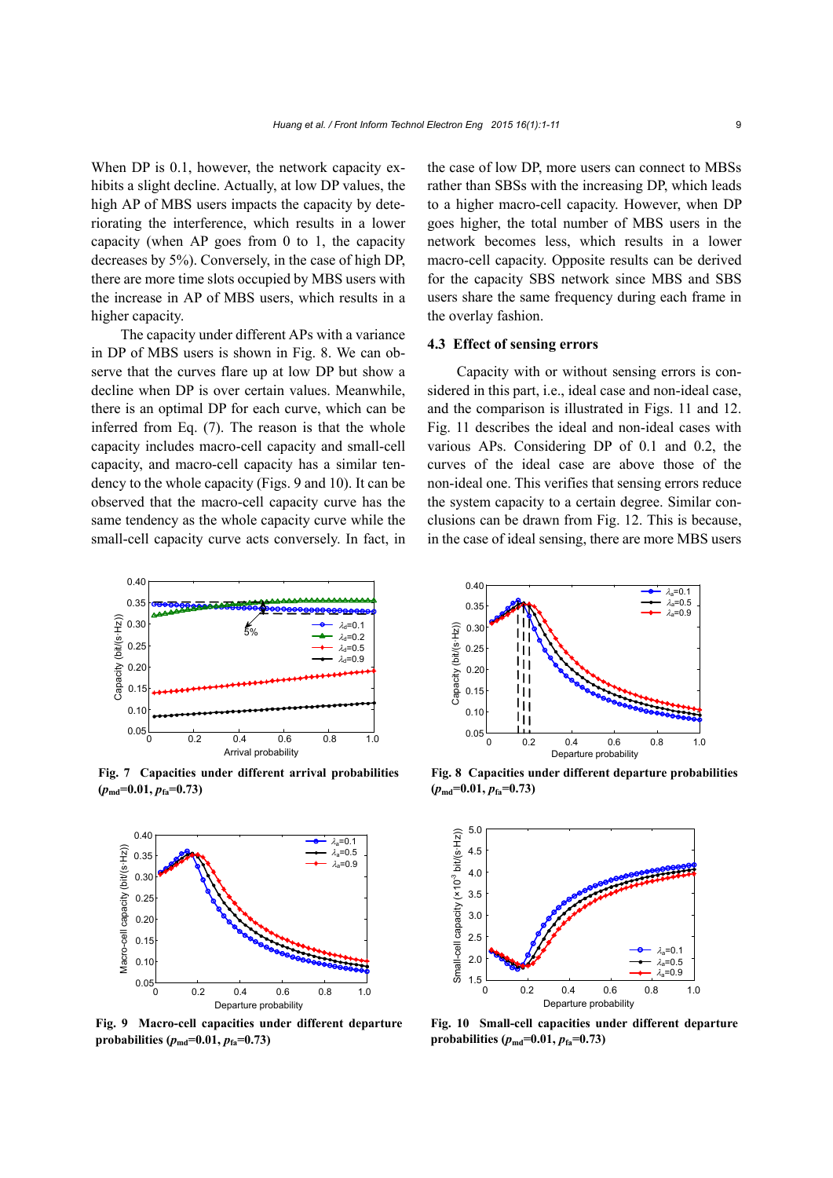When DP is 0.1, however, the network capacity exhibits a slight decline. Actually, at low DP values, the high AP of MBS users impacts the capacity by deteriorating the interference, which results in a lower capacity (when AP goes from 0 to 1, the capacity decreases by 5%). Conversely, in the case of high DP, there are more time slots occupied by MBS users with the increase in AP of MBS users, which results in a higher capacity.

The capacity under different APs with a variance in DP of MBS users is shown in Fig. 8. We can observe that the curves flare up at low DP but show a decline when DP is over certain values. Meanwhile, there is an optimal DP for each curve, which can be inferred from Eq. (7). The reason is that the whole capacity includes macro-cell capacity and small-cell capacity, and macro-cell capacity has a similar tendency to the whole capacity (Figs. 9 and 10). It can be observed that the macro-cell capacity curve has the same tendency as the whole capacity curve while the small-cell capacity curve acts conversely. In fact, in



**Fig. 7 Capacities under different arrival probabilities**  $(p_{\text{md}}=0.01, p_{\text{fa}}=0.73)$ 



**Fig. 9 Macro-cell capacities under different departure** probabilities  $(p_{\text{md}}=0.01, p_{\text{fa}}=0.73)$ 

the case of low DP, more users can connect to MBSs rather than SBSs with the increasing DP, which leads to a higher macro-cell capacity. However, when DP goes higher, the total number of MBS users in the network becomes less, which results in a lower macro-cell capacity. Opposite results can be derived for the capacity SBS network since MBS and SBS users share the same frequency during each frame in the overlay fashion.

## **4.3 Effect of sensing errors**

Capacity with or without sensing errors is considered in this part, i.e., ideal case and non-ideal case, and the comparison is illustrated in Figs. 11 and 12. Fig. 11 describes the ideal and non-ideal cases with various APs. Considering DP of 0.1 and 0.2, the curves of the ideal case are above those of the non-ideal one. This verifies that sensing errors reduce the system capacity to a certain degree. Similar conclusions can be drawn from Fig. 12. This is because, in the case of ideal sensing, there are more MBS users



**Fig. 8 Capacities under different departure probabilities**  $(p_{\text{md}}=0.01, p_{\text{fa}}=0.73)$ 



**Fig. 10 Small-cell capacities under different departure** probabilities  $(p_{\text{md}}=0.01, p_{\text{fa}}=0.73)$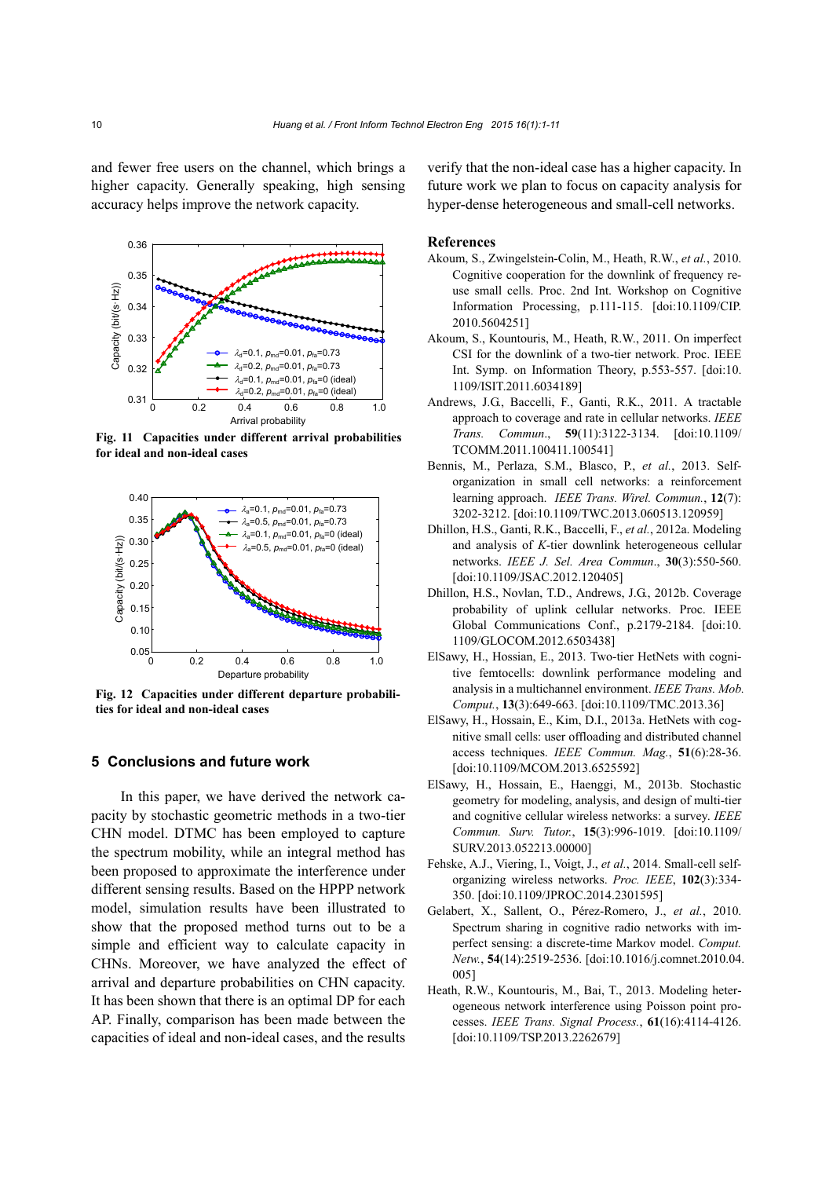and fewer free users on the channel, which brings a higher capacity. Generally speaking, high sensing accuracy helps improve the network capacity.



**Fig. 11 Capacities under different arrival probabilities for ideal and non-ideal cases** 



**Fig. 12 Capacities under different departure probabilities for ideal and non-ideal cases**

## **5 Conclusions and future work**

In this paper, we have derived the network capacity by stochastic geometric methods in a two-tier CHN model. DTMC has been employed to capture the spectrum mobility, while an integral method has been proposed to approximate the interference under different sensing results. Based on the HPPP network model, simulation results have been illustrated to show that the proposed method turns out to be a simple and efficient way to calculate capacity in CHNs. Moreover, we have analyzed the effect of arrival and departure probabilities on CHN capacity. It has been shown that there is an optimal DP for each AP. Finally, comparison has been made between the capacities of ideal and non-ideal cases, and the results verify that the non-ideal case has a higher capacity. In future work we plan to focus on capacity analysis for hyper-dense heterogeneous and small-cell networks.

## **References**

- Akoum, S., Zwingelstein-Colin, M., Heath, R.W., *et al.*, 2010. Cognitive cooperation for the downlink of frequency reuse small cells. Proc. 2nd Int. Workshop on Cognitive Information Processing, p.111-115. [doi:10.1109/CIP. 2010.5604251]
- Akoum, S., Kountouris, M., Heath, R.W., 2011. On imperfect CSI for the downlink of a two-tier network. Proc. IEEE Int. Symp. on Information Theory, p.553-557. [doi:10. 1109/ISIT.2011.6034189]
- Andrews, J.G., Baccelli, F., Ganti, R.K., 2011. A tractable approach to coverage and rate in cellular networks. *IEEE Trans. Commun*., **59**(11):3122-3134. [doi:10.1109/ TCOMM.2011.100411.100541]
- Bennis, M., Perlaza, S.M., Blasco, P., *et al.*, 2013. Selforganization in small cell networks: a reinforcement learning approach. *IEEE Trans. Wirel. Commun.*, **12**(7): 3202-3212. [doi:10.1109/TWC.2013.060513.120959]
- Dhillon, H.S., Ganti, R.K., Baccelli, F., *et al.*, 2012a. Modeling and analysis of *K*-tier downlink heterogeneous cellular networks. *IEEE J. Sel. Area Commun*., **30**(3):550-560. [doi:10.1109/JSAC.2012.120405]
- Dhillon, H.S., Novlan, T.D., Andrews, J.G., 2012b. Coverage probability of uplink cellular networks. Proc. IEEE Global Communications Conf., p.2179-2184. [doi:10. 1109/GLOCOM.2012.6503438]
- ElSawy, H., Hossian, E., 2013. Two-tier HetNets with cognitive femtocells: downlink performance modeling and analysis in a multichannel environment. *IEEE Trans. Mob. Comput.*, **13**(3):649-663. [doi:10.1109/TMC.2013.36]
- ElSawy, H., Hossain, E., Kim, D.I., 2013a. HetNets with cognitive small cells: user offloading and distributed channel access techniques. *IEEE Commun. Mag.*, **51**(6):28-36. [doi:10.1109/MCOM.2013.6525592]
- ElSawy, H., Hossain, E., Haenggi, M., 2013b. Stochastic geometry for modeling, analysis, and design of multi-tier and cognitive cellular wireless networks: a survey. *IEEE Commun. Surv. Tutor.*, **15**(3):996-1019. [doi:10.1109/ SURV.2013.052213.00000]
- Fehske, A.J., Viering, I., Voigt, J., *et al.*, 2014. Small-cell selforganizing wireless networks. *Proc. IEEE*, **102**(3):334- 350. [doi:10.1109/JPROC.2014.2301595]
- Gelabert, X., Sallent, O., Pérez-Romero, J., *et al.*, 2010. Spectrum sharing in cognitive radio networks with imperfect sensing: a discrete-time Markov model. *Comput. Netw.*, **54**(14):2519-2536. [doi:10.1016/j.comnet.2010.04. 005]
- Heath, R.W., Kountouris, M., Bai, T., 2013. Modeling heterogeneous network interference using Poisson point processes. *IEEE Trans. Signal Process.*, **61**(16):4114-4126. [doi:10.1109/TSP.2013.2262679]